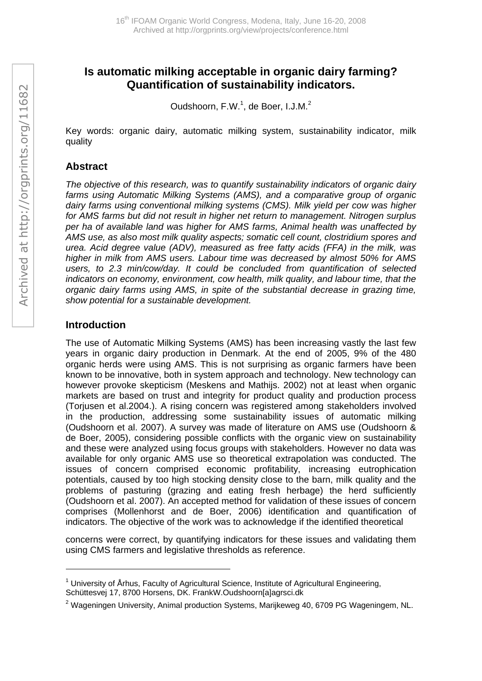# **Is automatic milking acceptable in organic dairy farming? Quantification of sustainability indicators.**

Oudshoorn, F.W.<sup>1</sup>, de Boer, I.J.M.<sup>2</sup>

Key words: organic dairy, automatic milking system, sustainability indicator, milk quality

### **Abstract**

*The objective of this research, was to quantify sustainability indicators of organic dairy farms using Automatic Milking Systems (AMS), and a comparative group of organic dairy farms using conventional milking systems (CMS). Milk yield per cow was higher for AMS farms but did not result in higher net return to management. Nitrogen surplus per ha of available land was higher for AMS farms, Animal health was unaffected by AMS use, as also most milk quality aspects; somatic cell count, clostridium spores and urea. Acid degree value (ADV), measured as free fatty acids (FFA) in the milk, was higher in milk from AMS users. Labour time was decreased by almost 50% for AMS users, to 2.3 min/cow/day. It could be concluded from quantification of selected indicators on economy, environment, cow health, milk quality, and labour time, that the organic dairy farms using AMS, in spite of the substantial decrease in grazing time, show potential for a sustainable development.* 

## **Introduction**

 $\overline{a}$ 

The use of Automatic Milking Systems (AMS) has been increasing vastly the last few years in organic dairy production in Denmark. At the end of 2005, 9% of the 480 organic herds were using AMS. This is not surprising as organic farmers have been known to be innovative, both in system approach and technology. New technology can however provoke skepticism (Meskens and Mathijs. 2002) not at least when organic markets are based on trust and integrity for product quality and production process (Torjusen et al.2004.). A rising concern was registered among stakeholders involved in the production, addressing some sustainability issues of automatic milking (Oudshoorn et al. 2007). A survey was made of literature on AMS use (Oudshoorn & de Boer, 2005), considering possible conflicts with the organic view on sustainability and these were analyzed using focus groups with stakeholders. However no data was available for only organic AMS use so theoretical extrapolation was conducted. The issues of concern comprised economic profitability, increasing eutrophication potentials, caused by too high stocking density close to the barn, milk quality and the problems of pasturing (grazing and eating fresh herbage) the herd sufficiently (Oudshoorn et al. 2007). An accepted method for validation of these issues of concern comprises (Mollenhorst and de Boer, 2006) identification and quantification of indicators. The objective of the work was to acknowledge if the identified theoretical

concerns were correct, by quantifying indicators for these issues and validating them using CMS farmers and legislative thresholds as reference.

 $1$  University of Århus, Faculty of Agricultural Science, Institute of Agricultural Engineering, Schüttesvej 17, 8700 Horsens, DK. FrankW.Oudshoorn[a]agrsci.dk

<sup>&</sup>lt;sup>2</sup> Wageningen University, Animal production Systems, Marijkeweg 40, 6709 PG Wageningem, NL.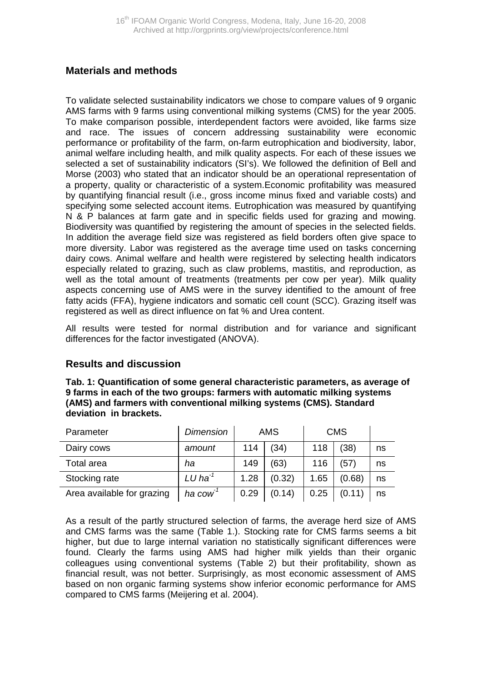### **Materials and methods**

To validate selected sustainability indicators we chose to compare values of 9 organic AMS farms with 9 farms using conventional milking systems (CMS) for the year 2005. To make comparison possible, interdependent factors were avoided, like farms size and race. The issues of concern addressing sustainability were economic performance or profitability of the farm, on-farm eutrophication and biodiversity, labor, animal welfare including health, and milk quality aspects. For each of these issues we selected a set of sustainability indicators (SI's). We followed the definition of Bell and Morse (2003) who stated that an indicator should be an operational representation of a property, quality or characteristic of a system.Economic profitability was measured by quantifying financial result (i.e., gross income minus fixed and variable costs) and specifying some selected account items. Eutrophication was measured by quantifying N & P balances at farm gate and in specific fields used for grazing and mowing. Biodiversity was quantified by registering the amount of species in the selected fields. In addition the average field size was registered as field borders often give space to more diversity. Labor was registered as the average time used on tasks concerning dairy cows. Animal welfare and health were registered by selecting health indicators especially related to grazing, such as claw problems, mastitis, and reproduction, as well as the total amount of treatments (treatments per cow per year). Milk quality aspects concerning use of AMS were in the survey identified to the amount of free fatty acids (FFA), hygiene indicators and somatic cell count (SCC). Grazing itself was registered as well as direct influence on fat % and Urea content.

All results were tested for normal distribution and for variance and significant differences for the factor investigated (ANOVA).

## **Results and discussion**

**Tab. 1: Quantification of some general characteristic parameters, as average of 9 farms in each of the two groups: farmers with automatic milking systems (AMS) and farmers with conventional milking systems (CMS). Standard deviation in brackets.** 

| Parameter                  | <b>Dimension</b>      | <b>AMS</b> |        | <b>CMS</b> |        |    |
|----------------------------|-----------------------|------------|--------|------------|--------|----|
| Dairy cows                 | amount                | 114        | (34)   | 118        | (38)   | ns |
| Total area                 | ha                    | 149        | (63)   | 116        | (57)   | ns |
| Stocking rate              | $LU$ ha <sup>-1</sup> | 1.28       | (0.32) | 1.65       | (0.68) | ns |
| Area available for grazing | ha cow <sup>1</sup>   | 0.29       | (0.14) | 0.25       | (0.11) | ns |

As a result of the partly structured selection of farms, the average herd size of AMS and CMS farms was the same (Table 1.). Stocking rate for CMS farms seems a bit higher, but due to large internal variation no statistically significant differences were found. Clearly the farms using AMS had higher milk yields than their organic colleagues using conventional systems (Table 2) but their profitability, shown as financial result, was not better. Surprisingly, as most economic assessment of AMS based on non organic farming systems show inferior economic performance for AMS compared to CMS farms (Meijering et al. 2004).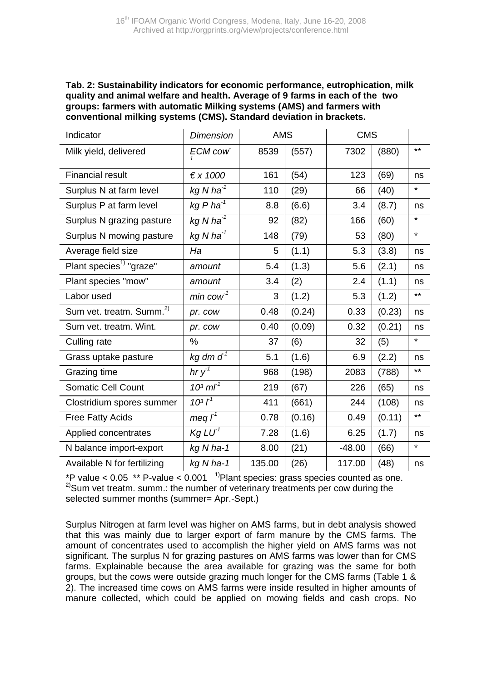#### **Tab. 2: Sustainability indicators for economic performance, eutrophication, milk quality and animal welfare and health. Average of 9 farms in each of the two groups: farmers with automatic Milking systems (AMS) and farmers with conventional milking systems (CMS). Standard deviation in brackets.**

| Indicator                            | <b>Dimension</b>                | <b>AMS</b> |        | <b>CMS</b> |        |         |
|--------------------------------------|---------------------------------|------------|--------|------------|--------|---------|
| Milk yield, delivered                | <b>ECM cow</b>                  | 8539       | (557)  | 7302       | (880)  | $***$   |
| <b>Financial result</b>              | $\xi \times 1000$               | 161        | (54)   | 123        | (69)   | ns      |
| Surplus N at farm level              | kg N ha $^{-1}$                 | 110        | (29)   | 66         | (40)   | $\star$ |
| Surplus P at farm level              | $kg Pha^{-1}$                   | 8.8        | (6.6)  | 3.4        | (8.7)  | ns      |
| Surplus N grazing pasture            | kg N ha $^{-1}$                 | 92         | (82)   | 166        | (60)   | $\star$ |
| Surplus N mowing pasture             | kg N ha $^{-1}$                 | 148        | (79)   | 53         | (80)   | $\star$ |
| Average field size                   | Ha                              | 5          | (1.1)  | 5.3        | (3.8)  | ns      |
| Plant species <sup>1)</sup> "graze"  | amount                          | 5.4        | (1.3)  | 5.6        | (2.1)  | ns      |
| Plant species "mow"                  | amount                          | 3.4        | (2)    | 2.4        | (1.1)  | ns      |
| Labor used                           | $min$ cow <sup>-1</sup>         | 3          | (1.2)  | 5.3        | (1.2)  | $***$   |
| Sum vet. treatm. Summ. <sup>2)</sup> | pr. cow                         | 0.48       | (0.24) | 0.33       | (0.23) | ns      |
| Sum vet. treatm. Wint.               | pr. cow                         | 0.40       | (0.09) | 0.32       | (0.21) | ns      |
| Culling rate                         | $\%$                            | 37         | (6)    | 32         | (5)    | $\star$ |
| Grass uptake pasture                 | kg dm $d^1$                     | 5.1        | (1.6)  | 6.9        | (2.2)  | ns      |
| Grazing time                         | hr $y^1$                        | 968        | (198)  | 2083       | (788)  | $***$   |
| <b>Somatic Cell Count</b>            | 10 <sup>3</sup> mI <sup>1</sup> | 219        | (67)   | 226        | (65)   | ns      |
| Clostridium spores summer            | $10^{3}I^{1}$                   | 411        | (661)  | 244        | (108)  | ns      |
| <b>Free Fatty Acids</b>              | meq $I^1$                       | 0.78       | (0.16) | 0.49       | (0.11) | $***$   |
| Applied concentrates                 | Kg LU <sup>1</sup>              | 7.28       | (1.6)  | 6.25       | (1.7)  | ns      |
| N balance import-export              | kg N ha-1                       | 8.00       | (21)   | $-48.00$   | (66)   | $\star$ |
| Available N for fertilizing          | $kq$ N ha-1                     | 135.00     | (26)   | 117.00     | (48)   | ns      |

\*P value < 0.05 \*\* P-value < 0.001  $^{-1}$ Plant species: grass species counted as one.<br><sup>2)</sup>Sum vet treatm. summ.: the number of veterinary treatments per cow during the selected summer months (summer= Apr.-Sept.)

Surplus Nitrogen at farm level was higher on AMS farms, but in debt analysis showed that this was mainly due to larger export of farm manure by the CMS farms. The amount of concentrates used to accomplish the higher yield on AMS farms was not significant. The surplus N for grazing pastures on AMS farms was lower than for CMS farms. Explainable because the area available for grazing was the same for both groups, but the cows were outside grazing much longer for the CMS farms (Table 1 & 2). The increased time cows on AMS farms were inside resulted in higher amounts of manure collected, which could be applied on mowing fields and cash crops. No